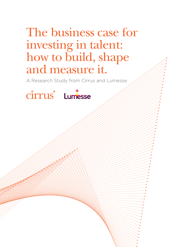# The business case for investing in talent: how to build, shape and measure it.

A Research Study from Cirrus and Lumesse

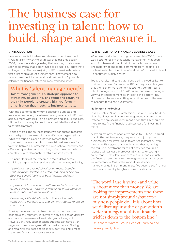# The business case for investing in talent: how to build, shape and measure it.

## 1. INTRODUCTION

How important is it to demonstrate a return on investment (ROI) in talent? When we last researched this area back in 20081 , there was a strong feeling that investing in talent was seen as so critical that it didn't need to be justified. Today, that's no longer true. The vast majority of HR professionals believe that presenting a robust business case is now essential to secure investment. However, almost half feel it isn't possible to calculate the financial return on investment accurately.

## What is 'talent management'?

Talent management is a strategic approach to attracting, developing, engaging and retaining the right people to create a high-performing organisation that meets its business targets.

With the economic downturn squeezing budgets and resources, and every investment keenly evaluated, HR must achieve more with less. To help protect and secure budgets, HR has to find a way to predict and validate the value of talent programmes.

To shed more light on these issues we conducted research and in-depth interviews with over 80 major organisations. While we found a clear acknowledgement that it's important to present a robust financial business case for talent initiatives, HR professionals also believe that they can offer a unique viewpoint on other, softer measures, which can also help to demonstrate return on investment.

This paper looks at the research in more detail before outlining an approach to evaluate talent initiatives, including:

- *Applying a more rounded validation model based on strategy maps developed by Robert Kaplan of Harvard Business School, looking at both financial and nonfinancial metrics.*
- *Improving HR's connections with the wider business to gauge colleagues' views on a wide range of measures to demonstrate a return on investment.*
- *Developing HR's skillsets and confidence to create compelling a business case and demonstrate the return on investment.*

Proving the investment in talent is critical. In the current economic environment, initiatives which lack senior visibility and cannot be measured are in danger of being cut. However, any reduction in talent budgets can have a very negative impact on organisational performance. Finding and retaining the best people is arguably the single most important factor in corporate success.

### 2. THE PUSH FOR A FINANCIAL BUSINESS CASE

When we conducted our original research in 2008, there was a strong feeling that talent management was seen as so fundamental that it didn't need a business case. The majority of anecdotal comments from leading HR professionals described it as a 'no-brainer' to invest in talent - a sentiment widely shared.

Today's results indicate that talent is still viewed as key to business success. For instance, 87% of respondents agree that their senior management is strongly committed to talent management, and 79.4% agree that senior managers view talent management as critical to the bottom line. However, attitudes are shifting when it comes to the need to account for talent investments.

## No longer a no-brainer

In 2013, only 29% of HR professionals in our survey hold the view that investing in talent management is a no-brainer. Instead, we are seeing clear recognition that HR should do more to justify the financial business case for investing in talent.

A strong majority of people we spoke to – 66.7% – agreed that, in the last few years, the pressure to justify the business case for investing in talent has increased. Even more – 84.1% – agree or strongly agree that obtaining the required investment for talent activities requires a robust business case. Moreover, 83% agree or strongly agree that HR should do more to measure and evaluate the financial return on talent management activities postimplementation. One of the main drivers behind this marked change in sentiment in just five years is the financial pressures caused by tougher market conditions.

"The word I use is value - and value is about more than money. We are looking for improvements and these are not simply around what extra business people do. It is about how we deliver against the organisation's wider strategy and this ultimately trickles down to the bottom line."

Dr Richard Waters, Group Head of Learning and Development, Hays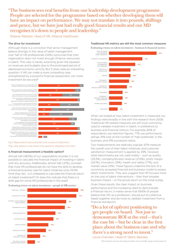"The business sees real benefits from our leadership development programme. People are selected for the programme based on whether developing them will have an impact on performance. We may not translate it into pounds, shillings and pence, but we have just had really good financial results and our MD recognises it's down to people and leadership."

Sheena Webster, Head of HR, Alliance Healthcare

## The drive for investment

Although there is a conviction that senior management believe strongly in the value of talent management, over half of HR professionals (54%) concurred that their organisation does not invest enough (finance, resources) in talent. This view is hardly surprising given the squeeze on revenues and budgets due to the prolonged period of depressed economic activity. But it does raise an interesting question: if HR can make a more compelling case, strengthened by a powerful financial assessment, can more investment be secured?



*Fig 1: Respondents were presented with a series of statements. They were asked to what extent they agreed or disagreed with them.* 

## Is financial measurement a feasible option?

Almost half (48.5%) of our respondents consider it is not possible to calculate the financial impact of investing in talent with any accuracy. Additionally, almost half, (47%), consider that most HR professionals do not have the skills to develop a financial business case for talent initiatives (only 29.5% think they do). Is it unfeasible to calculate the financial return on talent investment? Or does this indicate that there is a skills gap for some HR professionals in this area?





#### Traditional HR metrics are still the most common measures

Evaluating return on talent investment – business & financial metrics



When we looked at how talent investment is measured, our findings were broadly in line with the research from 2008. Traditional HR-related measures are still most commonly used to validate investment in talent, in preference to business and financial metrics. For example, 80% of respondents use retention figures, 77% use performance ratings, 61% look at the number of 'high potentials' in the business, and 41% succession ratios.

Two measurements are relatively popular: 67% measure the overall cost of their talent initiatives, and customer satisfaction measurement is applied by 49%. However, other benchmarks are not used widely – such as quality (29.3%), company/division revenue (27.6%), profit margin (24.1%), innovation (19%), health and safety (17%), and market value (12%). These figures underline the lack of a commonly accepted financial and business model to assess talent investments. They also suggest that HR focuses more on the cost of talent interventions – than their broader business impact – or the actual return on the initial outlay.

Given these results, the clear impact on business performance and the increasing need to demonstrate a financial return, it makes sense that 69.6% of people believe that HR, as a profession, should put its collective heads together and do more to validate investment from a financial standpoint.

## "Do a lot of upfront positioning to get people on board. Not just to demonstrate ROI at the end – that's the easy bit – but be clear in the first place about the business case and why there's a strong need to invest."

Laura Ovenden, Head of Talent, Beazley

The business case for investing in talent: how to build, shape and measure it.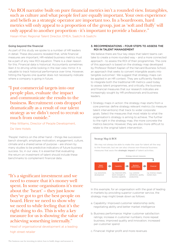"An ROI narrative built on pure financial metrics isn't a rounded view. Intangibles, such as culture and what people feel are equally important. Your own experience and beliefs as a strategic operator are important too. In a boardroom, hard metrics will only appeal to a proportion of the group, just as 'soft and fluffy' will only appeal to another proportion - it's important to provide a balance."

Hasan Khair, Regional Talent Director, EMEA, Saatchi & Saatchi

## Going beyond the financial

As part of this study we spoke to a number of HR leaders in detail. These discussions revealed that, while financial measures are important, HR-related business metrics must be a part of any new ROI equation. There is a clear reason for this. Financial data is historical. Accountants sometimes liken it to driving while looking in the rear-view mirror. It is valuable to track historical performance over time. However, hitting the figures one quarter does not necessarily indicate where a company is going in future.

## "I put commercial targets into our people plan, evaluate the impact and communicate the results to the business. Recruitment costs dropped dramatically as a result of our talent strategy as we didn't need to recruit so much from outside."

Mike Williams, Director of People Development,

## De Vere Hotels

'People' metrics on the other hand – things like succession bench strength, employee motivation, engagement, culture, climate and a shared sense of purpose – are shown by many studies to be predictive indicators of future business success. So, in our view, it is essential that evaluating the return on investment of talent should include these benchmarks to complement financial data.

"It's a significant investment and we need to ensure that it's money well spent. In some organisations it's more about the 'heart' – they just know they've got to get the best people on board. Here we need to show why we need to while feeling that it's the right thing to do. This is why a key measure for us is showing the value of achieving something internally."

Head of organisational development at a leading high street retailer

## 3. RECOMMENDATIONS – FOUR STEPS TO ASSESS THE ROI IN TALENT MANAGEMENT

We believe there are four key steps that talent teams can take to create a more rounded way – and a more connected approach - to assess the ROI of their programmes. The core of this approach is based on the strategy map developed by Professor Robert Kaplan of the Harvard Business School, an approach that seeks to convert intangible assets into tangible outcomes<sup>2</sup>. We suggest that strategy maps can be applied in an HR context. They are sufficiently flexible to integrate both the traditional HR metrics used today to assess talent programmes, and critically, the business and financial measures that our research indicates are increasingly sought by HR professionals and business leaders.

1. Strategy maps in action: the strategy map starts from a core premise: define strategy relevant metrics (to measure talent interventions) that track to wider corporate goals. Select the measures that most relate to what the organisation's strategy is aiming to achieve. The further to the right in the strategy map, the more concrete the metrics become. However, they are also more difficult to relate to the original talent intervention.



In this example, for an organisation with the goal of leading in markets by providing superior customer service, the strategy map might break down as follows:

- a. Capability: Improved customer relationship skills; negotiating ability and better market intelligence
- b. Business performance: Higher customer satisfaction ratings; increase in customer numbers; more repeat business; improved quality and innovation; increased per-customer spend
- c. Financial: Higher profit and more revenues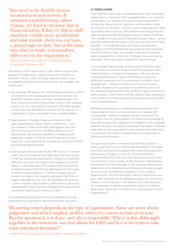"You need to be flexible in your measurement and metrics. If someone's transforming culture change, it's hard to measure that in financial terms. If they're able to shift mindsets, enable more productivity and raise morale, then you can't put a pound sign on that - but at the same time they've made a tremendous difference to the organisation."

Kerensa Jennings, Head of Strategic Delivery, Finance & Business, BBC

The beauty of this approach is that, while it may not be possible to relate every talent intervention directly to financial metrics, other strategy-relevant metrics such as capability and business performance can validate the investment.

- 2. Be inclusive: HR teams can collaborate and create critical connections with colleagues across the business. For example, finance teams will have valuable insight into how to build financial and business metrics into strategy maps. It is also important to connect with other leaders whose activities are likely to impact on the returns on investment in talent, and treat them as stakeholders.
- 3. New skillsets: Strategy maps can transform the way organisations assess talent investments – but our research shows that skills shortages across the HR community can limit the effectiveness of such approaches. Developing capability in creating and applying a range of metrics (both financial and nonfinancial), could become an increasingly vital part of HR's professional development.
- 4. Technology and the data-driven HR function: In recent years, the effectiveness and application of technology in HR has advanced significantly. Thanks to cloud and Software-as-a-Service (SaaS) technologies, it's much easier to introduce new HR systems and connect the multiple systems that HR has deployed over the years. A recent research report on HR technology buying trends from Bersin by Deloitte highlights that 20% of large organisations use over ten separate HR systems – these include compensation, performance, personal development tools, learning management systems and succession planning to name just a few<sup>3</sup>.

Consolidating these systems into one platform is a key requirement to help teams advance business analytics.

## 4. CONCLUSION

Until recently there was a widespread view that investing in talent was so important that it needed little or no financial justification. Our research shows a fundamental shift in thinking as the economic downturn necessitates closer scrutiny of all line items. In an era when organisations need to achieve more with less, HR professionals recognise the need to demonstrate the effectiveness of talent initiatives. The validation must account for real business value – going beyond traditional HR metrics that are still most commonly applied – to include business and financial indicators. However, the HR professionals we spoke to acknowledge that the industry lacks a consistent method to evaluate talent programmes in this way. Strategy maps provide an approach which can help provide this methodology.

The strategy map provides a framework that links talent interventions to a wide range of both financial and nonfinancial metrics. Using this framework, HR can use its unique perspective to add to the financial case with additional measures such as employee motivation and engagement - powerful predictors of future business success. Applying this approach consistently across all key projects could provide the validation rigour that senior teams expect. Over time it will also build a clear analysis of which areas of investments are producing real results, and which need attention.

Building competency in creating a business case and measuring the return on investment will increase HR professionals' ability to evaluate project outcomes. It's important too for the profession to build its knowledge of new technology that makes it much easier to: link separate systems, produce the data that shows how talent initiatives map back to business performance and provide real-time, on demand information to assist talent professionals in planning interventions.

The growing interest in measuring the ROI of talent is likely to become a more definitive requirement. The need to protect and secure budgets with improved evaluation techniques will take on a more critical significance. Demonstrating ROI can also help HR prove its value and contribution to the success of the business. Globalisation, complexity and the shortage of key skills are trends that make attracting, developing and keeping the best people an ever more competitive discipline. In this context, organisations with the strongest talent programmes can gain clear competitive advantage and become stand-out leaders in their sectors. If HR leaders can make the case for investment in talent programmes, they will make an even more significant contribution to the success of their organisations.

"Measuring return depends on the type of organisation. Some are more about judgement and what's implicit, and for others it's a more technical exercise. But the question is, is it done, and who's responsible? Where is this all brought together in the systematic way that allows the CEO and her or his team to take some informed decisions?"

Andy Parfitt, Executive Director Talent, Saatchi & Saatchi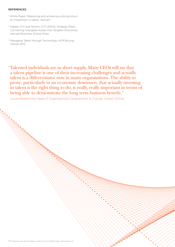### **REFERENCES**

- <sup>1</sup>. White Paper: Measuring and achieving a strong return on investment in talent, Xancam
- 2. Kaplan, R S and Norton, D P (2004), Strategy Maps: Converting Intangible Assets into Tangible Outcomes, Harvard Business School Press
- <sup>3.</sup> Managing Talent through Technology, HCM Buying Trends 2013

"Talented individuals are in short supply. Many CEOs will say that a talent pipeline is one of their increasing challenges and actually talent is a differentiator now in many organisations. The ability to prove, particularly in an economic downturn, that actually investing in talent is the right thing to do, is really, really important in terms of being able to demonstrate the long term business benefit."

Louise Beardmore, Head of Organisational Development & Change, United Utilities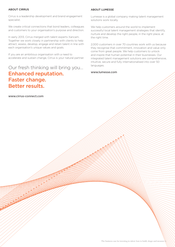## ABOUT CIRRUS

Cirrus is a leadership development and brand engagement specialist.

We create critical connections that bond leaders, colleagues and customers to your organisation's purpose and direction.

In early 2013, Cirrus merged with talent experts Xancam. Together we work closely in partnership with clients to help attract, assess, develop, engage and retain talent in line with each organisation's unique values and goals.

If you are an ambitious organisation with a need to accelerate and sustain change, Cirrus is your natural partner.

## Our fresh thinking will bring you… Enhanced reputation. Faster change. Better results.

www.cirrus-connect.com

## ABOUT LUMESSE

Lumesse is a global company making talent management solutions work locally.

We help customers around the world to implement successful local talent management strategies that identify, nurture and develop the right people, in the right place, at the right time.

2,000 customers in over 70 countries work with us because they recognise that commitment, innovation and value only come from great people. We help customers to unlock and inspire that human potential in their businesses. Our integrated talent management solutions are comprehensive, intuitive, secure and fully internationalised into over 50 languages.

## www.lumesse.com